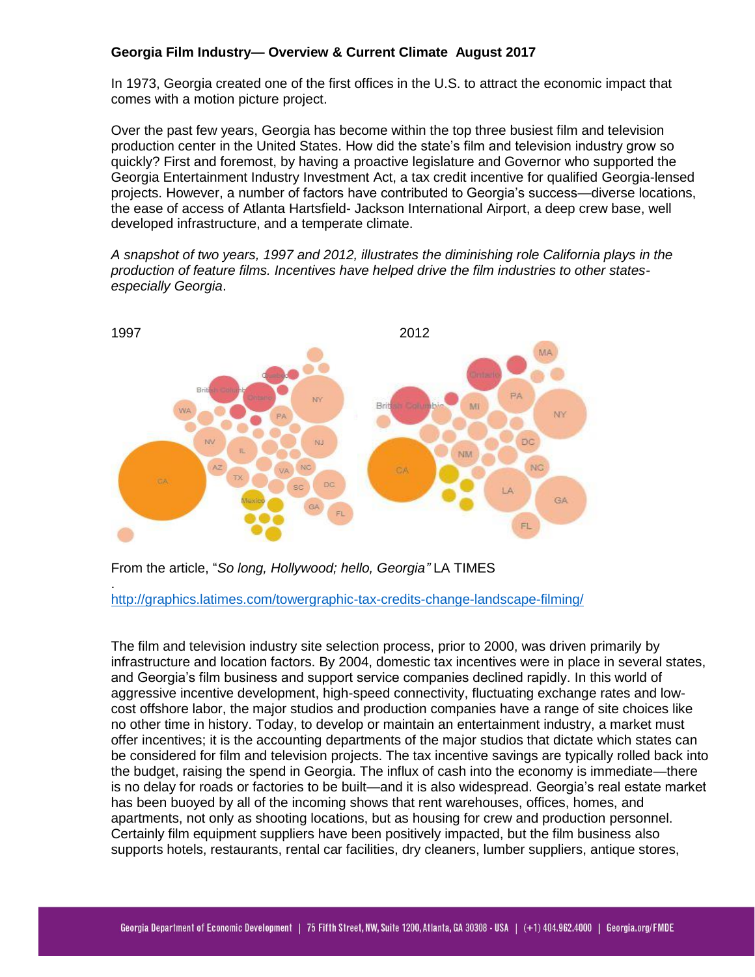# **Georgia Film Industry— Overview & Current Climate August 2017**

In 1973, Georgia created one of the first offices in the U.S. to attract the economic impact that comes with a motion picture project.

Over the past few years, Georgia has become within the top three busiest film and television production center in the United States. How did the state's film and television industry grow so quickly? First and foremost, by having a proactive legislature and Governor who supported the Georgia Entertainment Industry Investment Act, a tax credit incentive for qualified Georgia-lensed projects. However, a number of factors have contributed to Georgia's success—diverse locations, the ease of access of Atlanta Hartsfield- Jackson International Airport, a deep crew base, well developed infrastructure, and a temperate climate.

*A snapshot of two years, 1997 and 2012, illustrates the diminishing role California plays in the production of feature films. Incentives have helped drive the film industries to other statesespecially Georgia*.



From the article, "*So long, Hollywood; hello, Georgia"* LA TIMES

.

<http://graphics.latimes.com/towergraphic-tax-credits-change-landscape-filming/>

The film and television industry site selection process, prior to 2000, was driven primarily by infrastructure and location factors. By 2004, domestic tax incentives were in place in several states, and Georgia's film business and support service companies declined rapidly. In this world of aggressive incentive development, high-speed connectivity, fluctuating exchange rates and lowcost offshore labor, the major studios and production companies have a range of site choices like no other time in history. Today, to develop or maintain an entertainment industry, a market must offer incentives; it is the accounting departments of the major studios that dictate which states can be considered for film and television projects. The tax incentive savings are typically rolled back into the budget, raising the spend in Georgia. The influx of cash into the economy is immediate—there is no delay for roads or factories to be built—and it is also widespread. Georgia's real estate market has been buoyed by all of the incoming shows that rent warehouses, offices, homes, and apartments, not only as shooting locations, but as housing for crew and production personnel. Certainly film equipment suppliers have been positively impacted, but the film business also supports hotels, restaurants, rental car facilities, dry cleaners, lumber suppliers, antique stores,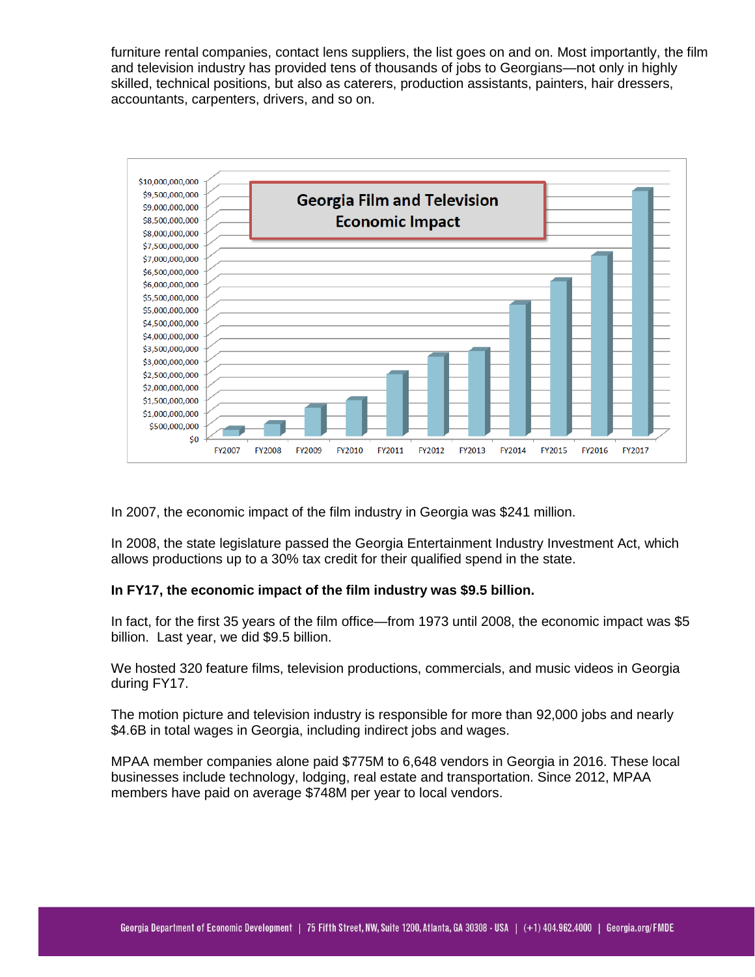furniture rental companies, contact lens suppliers, the list goes on and on. Most importantly, the film and television industry has provided tens of thousands of jobs to Georgians—not only in highly skilled, technical positions, but also as caterers, production assistants, painters, hair dressers, accountants, carpenters, drivers, and so on.



In 2007, the economic impact of the film industry in Georgia was \$241 million.

In 2008, the state legislature passed the Georgia Entertainment Industry Investment Act, which allows productions up to a 30% tax credit for their qualified spend in the state.

## **In FY17, the economic impact of the film industry was \$9.5 billion.**

In fact, for the first 35 years of the film office—from 1973 until 2008, the economic impact was \$5 billion. Last year, we did \$9.5 billion.

We hosted 320 feature films, television productions, commercials, and music videos in Georgia during FY17.

The motion picture and television industry is responsible for more than 92,000 jobs and nearly \$4.6B in total wages in Georgia, including indirect jobs and wages.

MPAA member companies alone paid \$775M to 6,648 vendors in Georgia in 2016. These local businesses include technology, lodging, real estate and transportation. Since 2012, MPAA members have paid on average \$748M per year to local vendors.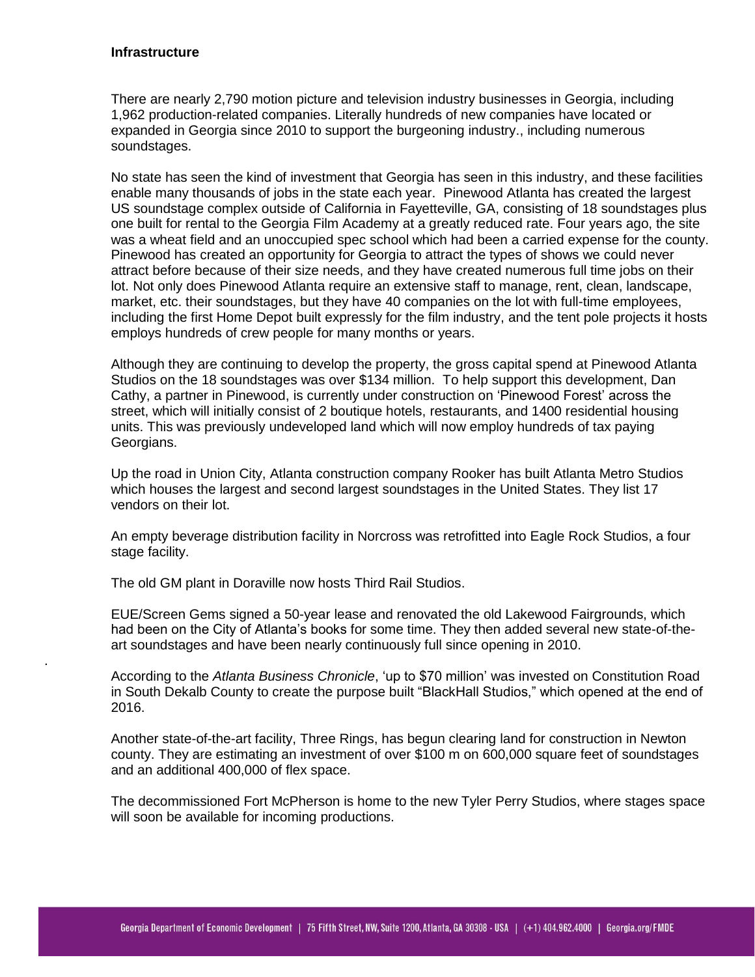## **Infrastructure**

.

There are nearly 2,790 motion picture and television industry businesses in Georgia, including 1,962 production-related companies. Literally hundreds of new companies have located or expanded in Georgia since 2010 to support the burgeoning industry., including numerous soundstages.

No state has seen the kind of investment that Georgia has seen in this industry, and these facilities enable many thousands of jobs in the state each year. Pinewood Atlanta has created the largest US soundstage complex outside of California in Fayetteville, GA, consisting of 18 soundstages plus one built for rental to the Georgia Film Academy at a greatly reduced rate. Four years ago, the site was a wheat field and an unoccupied spec school which had been a carried expense for the county. Pinewood has created an opportunity for Georgia to attract the types of shows we could never attract before because of their size needs, and they have created numerous full time jobs on their lot. Not only does Pinewood Atlanta require an extensive staff to manage, rent, clean, landscape, market, etc. their soundstages, but they have 40 companies on the lot with full-time employees, including the first Home Depot built expressly for the film industry, and the tent pole projects it hosts employs hundreds of crew people for many months or years.

Although they are continuing to develop the property, the gross capital spend at Pinewood Atlanta Studios on the 18 soundstages was over \$134 million. To help support this development, Dan Cathy, a partner in Pinewood, is currently under construction on 'Pinewood Forest' across the street, which will initially consist of 2 boutique hotels, restaurants, and 1400 residential housing units. This was previously undeveloped land which will now employ hundreds of tax paying Georgians.

Up the road in Union City, Atlanta construction company Rooker has built Atlanta Metro Studios which houses the largest and second largest soundstages in the United States. They list 17 vendors on their lot.

An empty beverage distribution facility in Norcross was retrofitted into Eagle Rock Studios, a four stage facility.

The old GM plant in Doraville now hosts Third Rail Studios.

EUE/Screen Gems signed a 50-year lease and renovated the old Lakewood Fairgrounds, which had been on the City of Atlanta's books for some time. They then added several new state-of-theart soundstages and have been nearly continuously full since opening in 2010.

According to the *Atlanta Business Chronicle*, 'up to \$70 million' was invested on Constitution Road in South Dekalb County to create the purpose built "BlackHall Studios," which opened at the end of 2016.

Another state-of-the-art facility, Three Rings, has begun clearing land for construction in Newton county. They are estimating an investment of over \$100 m on 600,000 square feet of soundstages and an additional 400,000 of flex space.

The decommissioned Fort McPherson is home to the new Tyler Perry Studios, where stages space will soon be available for incoming productions.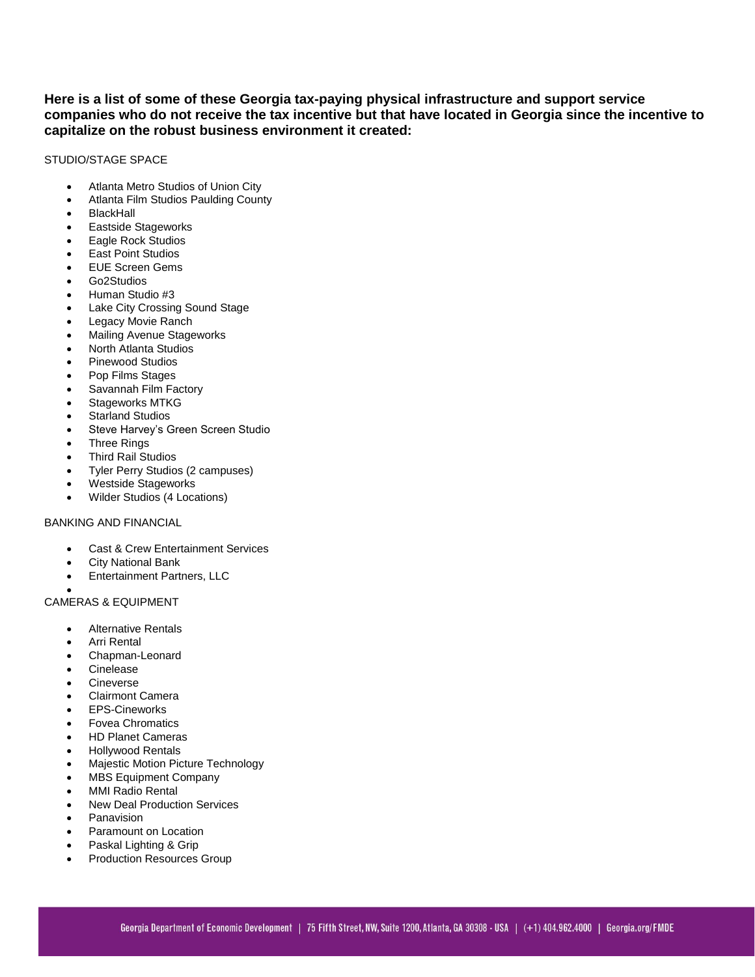**Here is a list of some of these Georgia tax-paying physical infrastructure and support service companies who do not receive the tax incentive but that have located in Georgia since the incentive to capitalize on the robust business environment it created:** 

#### STUDIO/STAGE SPACE

- Atlanta Metro Studios of Union City
- Atlanta Film Studios Paulding County
- BlackHall
- Eastside Stageworks
- Eagle Rock Studios
- East Point Studios
- EUE Screen Gems
- Go2Studios
- Human Studio #3
- Lake City Crossing Sound Stage
- Legacy Movie Ranch
- Mailing Avenue Stageworks
- North Atlanta Studios
- Pinewood Studios
- Pop Films Stages
- Savannah Film Factory
- Stageworks MTKG
- Starland Studios
- Steve Harvey's Green Screen Studio
- Three Rings
- Third Rail Studios
- Tyler Perry Studios (2 campuses)
- Westside Stageworks
- Wilder Studios (4 Locations)

### BANKING AND FINANCIAL

- Cast & Crew Entertainment Services
- City National Bank
- Entertainment Partners, LLC

#### $\bullet$ CAMERAS & EQUIPMENT

- Alternative Rentals
- Arri Rental
- Chapman-Leonard
- Cinelease
- Cineverse
- Clairmont Camera
- EPS-Cineworks
- Fovea Chromatics
- HD Planet Cameras
- Hollywood Rentals
- Majestic Motion Picture Technology
- MBS Equipment Company
- MMI Radio Rental
- New Deal Production Services
- Panavision
- Paramount on Location
- Paskal Lighting & Grip
- Production Resources Group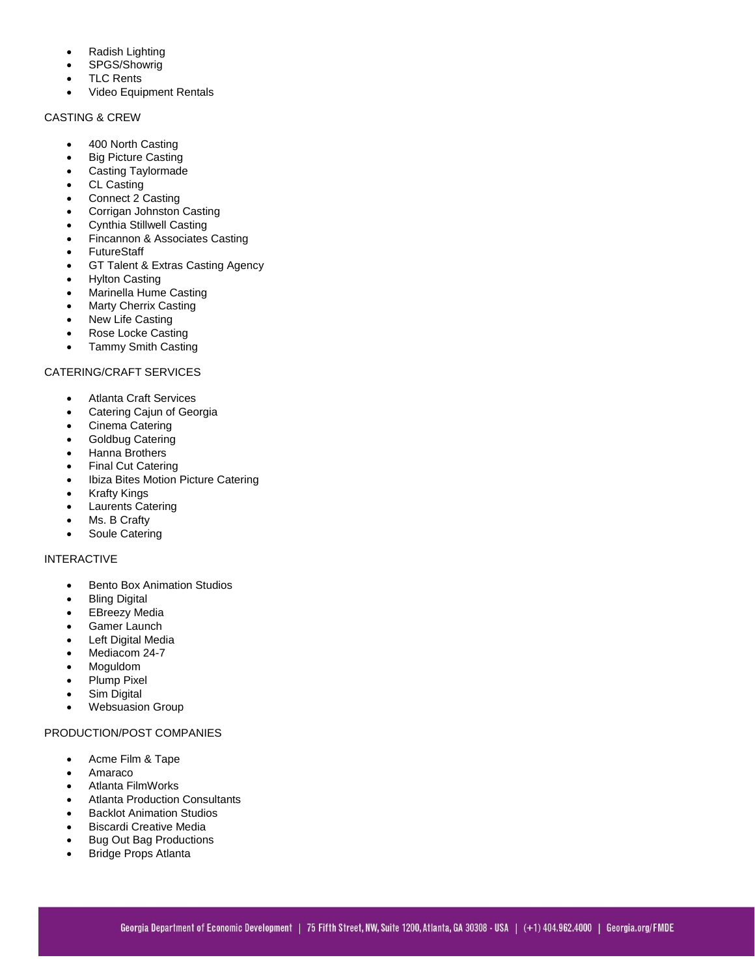- Radish Lighting
- SPGS/Showrig
- TLC Rents
- Video Equipment Rentals

### CASTING & CREW

- 400 North Casting
- Big Picture Casting
- Casting Taylormade
- CL Casting
- Connect 2 Casting
- Corrigan Johnston Casting
- Cynthia Stillwell Casting
- Fincannon & Associates Casting
- **FutureStaff**
- GT Talent & Extras Casting Agency
- Hylton Casting
- Marinella Hume Casting
- Marty Cherrix Casting
- New Life Casting
- Rose Locke Casting
- Tammy Smith Casting

# CATERING/CRAFT SERVICES

- Atlanta Craft Services
- Catering Cajun of Georgia
- Cinema Catering
- Goldbug Catering
- Hanna Brothers
- Final Cut Catering
- Ibiza Bites Motion Picture Catering
- Krafty Kings
- Laurents Catering
- Ms. B Crafty
- Soule Catering

## INTERACTIVE

- Bento Box Animation Studios
- **Bling Digital**
- EBreezy Media
- Gamer Launch
- Left Digital Media
- Mediacom 24-7
- Moguldom
- Plump Pixel
- Sim Digital
- Websuasion Group

## PRODUCTION/POST COMPANIES

- Acme Film & Tape
- Amaraco
- Atlanta FilmWorks
- Atlanta Production Consultants
- Backlot Animation Studios
- Biscardi Creative Media
- Bug Out Bag Productions
- Bridge Props Atlanta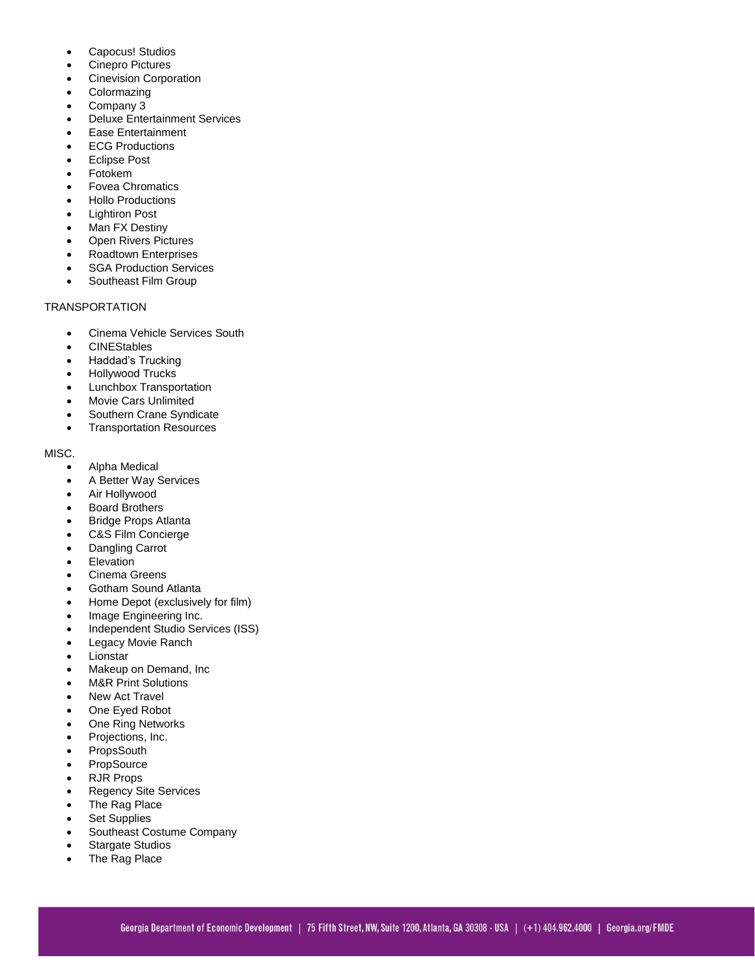- Capocus! Studios
- Cinepro Pictures
- Cinevision Corporation
- **Colormazing**
- Company 3
- Deluxe Entertainment Services
- Ease Entertainment
- ECG Productions
- Eclipse Post
- Fotokem
- Fovea Chromatics
- Hollo Productions
- Lightiron Post
- Man FX Destiny
- Open Rivers Pictures
- Roadtown Enterprises
- SGA Production Services
- Southeast Film Group

## TRANSPORTATION

- Cinema Vehicle Services South
- **CINEStables**
- Haddad's Trucking
- Hollywood Trucks
- Lunchbox Transportation
- Movie Cars Unlimited
- Southern Crane Syndicate
- Transportation Resources

#### MISC.

- Alpha Medical
- A Better Way Services
- Air Hollywood
- Board Brothers
- Bridge Props Atlanta
- C&S Film Concierge
- Dangling Carrot
- Elevation
- Cinema Greens
- Gotham Sound Atlanta
- Home Depot (exclusively for film)
- Image Engineering Inc.
- Independent Studio Services (ISS)
- Legacy Movie Ranch
- Lionstar
- Makeup on Demand, Inc
- M&R Print Solutions
- New Act Travel
- One Eyed Robot
- One Ring Networks
- Projections, Inc.
- PropsSouth
- PropSource
- RJR Props
- Regency Site Services
- The Rag Place
- Set Supplies
- Southeast Costume Company
- Stargate Studios
- The Rag Place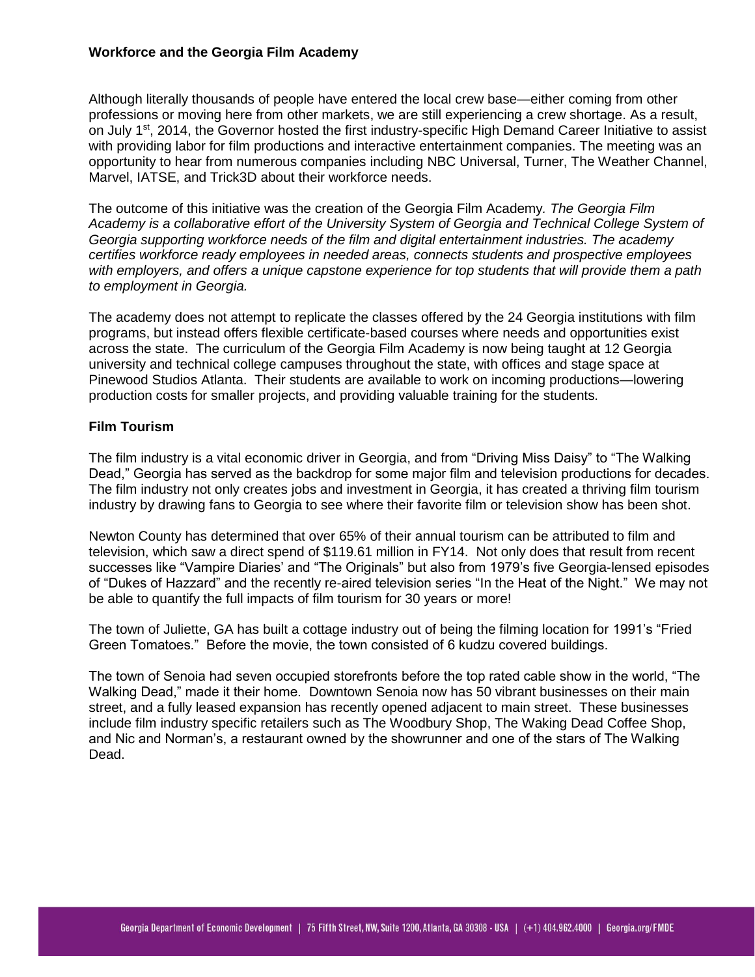# **Workforce and the Georgia Film Academy**

Although literally thousands of people have entered the local crew base—either coming from other professions or moving here from other markets, we are still experiencing a crew shortage. As a result, on July 1<sup>st</sup>, 2014, the Governor hosted the first industry-specific High Demand Career Initiative to assist with providing labor for film productions and interactive entertainment companies. The meeting was an opportunity to hear from numerous companies including NBC Universal, Turner, The Weather Channel, Marvel, IATSE, and Trick3D about their workforce needs.

The outcome of this initiative was the creation of the Georgia Film Academy*. The Georgia Film Academy is a collaborative effort of the University System of Georgia and Technical College System of Georgia supporting workforce needs of the film and digital entertainment industries. The academy certifies workforce ready employees in needed areas, connects students and prospective employees with employers, and offers a unique capstone experience for top students that will provide them a path to employment in Georgia.*

The academy does not attempt to replicate the classes offered by the 24 Georgia institutions with film programs, but instead offers flexible certificate-based courses where needs and opportunities exist across the state. The curriculum of the Georgia Film Academy is now being taught at 12 Georgia university and technical college campuses throughout the state, with offices and stage space at Pinewood Studios Atlanta. Their students are available to work on incoming productions—lowering production costs for smaller projects, and providing valuable training for the students.

# **Film Tourism**

The film industry is a vital economic driver in Georgia, and from "Driving Miss Daisy" to "The Walking Dead," Georgia has served as the backdrop for some major film and television productions for decades. The film industry not only creates jobs and investment in Georgia, it has created a thriving film tourism industry by drawing fans to Georgia to see where their favorite film or television show has been shot.

Newton County has determined that over 65% of their annual tourism can be attributed to film and television, which saw a direct spend of \$119.61 million in FY14. Not only does that result from recent successes like "Vampire Diaries' and "The Originals" but also from 1979's five Georgia-lensed episodes of "Dukes of Hazzard" and the recently re-aired television series "In the Heat of the Night." We may not be able to quantify the full impacts of film tourism for 30 years or more!

The town of Juliette, GA has built a cottage industry out of being the filming location for 1991's "Fried Green Tomatoes." Before the movie, the town consisted of 6 kudzu covered buildings.

The town of Senoia had seven occupied storefronts before the top rated cable show in the world, "The Walking Dead," made it their home. Downtown Senoia now has 50 vibrant businesses on their main street, and a fully leased expansion has recently opened adjacent to main street. These businesses include film industry specific retailers such as The Woodbury Shop, The Waking Dead Coffee Shop, and Nic and Norman's, a restaurant owned by the showrunner and one of the stars of The Walking Dead.